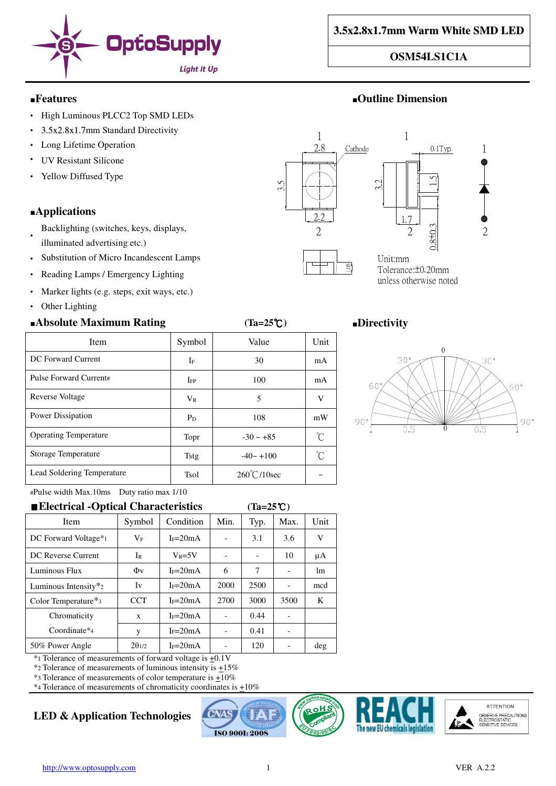

1

 $\mathcal{D}_{\mathcal{L}}$ 

#### ■**Features** ■**Outline Dimension**

- High Luminous PLCC2 Top SMD LEDs
- 3.5x2.8x1.7mm Standard Directivity
- Long Lifetime Operation
- **UV Resistant Silicone**
- Yellow Diffused Type

## ■**Applications**

- Backlighting (switches, keys, displays,
- illuminated advertising etc.)
- Substitution of Micro Incandescent Lamps
- Reading Lamps / Emergency Lighting
- Marker lights (e.g. steps, exit ways, etc.)
- Other Lighting

## ■**Absolute Maximum Rating (Ta=25**℃**)** ■**Directivity**



unless otherwise noted

Item Symbol Value Unit

DC Forward Current IF IF 30 mA Pulse Forward Current#  $I_{FP}$  100 mA

Reverse Voltage  $V_R$   $V_R$  5 V

Power Dissipation PD PD 108 mW

Operating Temperature  $\Gamma$  Topr  $-30 \sim +85$   $\degree$ Storage Temperature  $\Big|$  Tstg  $-40 \sim +100$   $\Big|$  °C

Lead Soldering Temperature  $\vert$  Tsol 260°C/10sec -



#Pulse width Max.10ms Duty ratio max 1/10

| ■ Electrical - Optical Characteristics       |                 |            |      |      |      |      |
|----------------------------------------------|-----------------|------------|------|------|------|------|
| Item                                         | Symbol          | Condition  | Min. | Typ. | Max. | Unit |
| DC Forward Voltage*1                         | $\rm V_F$       | $I_F=20mA$ |      | 3.1  | 3.6  | V    |
| DC Reverse Current                           | $I_{R}$         | $V_R = 5V$ |      |      | 10   | μA   |
| Luminous Flux                                | $\Phi$ v        | $I_F=20mA$ | 6    | 7    |      | lm   |
| Luminous Intensity $x_2$                     | Iv              | $I_F=20mA$ | 2000 | 2500 |      | mcd  |
| Color Temperature <sup><math>*</math>3</sup> | <b>CCT</b>      | $I_F=20mA$ | 2700 | 3000 | 3500 | K    |
| Chromaticity                                 | X               | $I_F=20mA$ |      | 0.44 |      |      |
| Coordinate*4                                 | y               | $I_F=20mA$ |      | 0.41 |      |      |
| 50% Power Angle                              | $2\theta_{1/2}$ | $I_F=20mA$ |      | 120  |      | deg  |
|                                              |                 |            |      |      |      |      |

 $*$ 1 Tolerance of measurements of forward voltage is  $\pm 0.1$ V

\*2 Tolerance of measurements of luminous intensity is +15%

 $*$ 3 Tolerance of measurements of color temperature is  $\pm 10\%$  $*$ 4 Tolerance of measurements of chromaticity coordinates is  $\pm 10\%$ 

# **LED & Application Technologies**







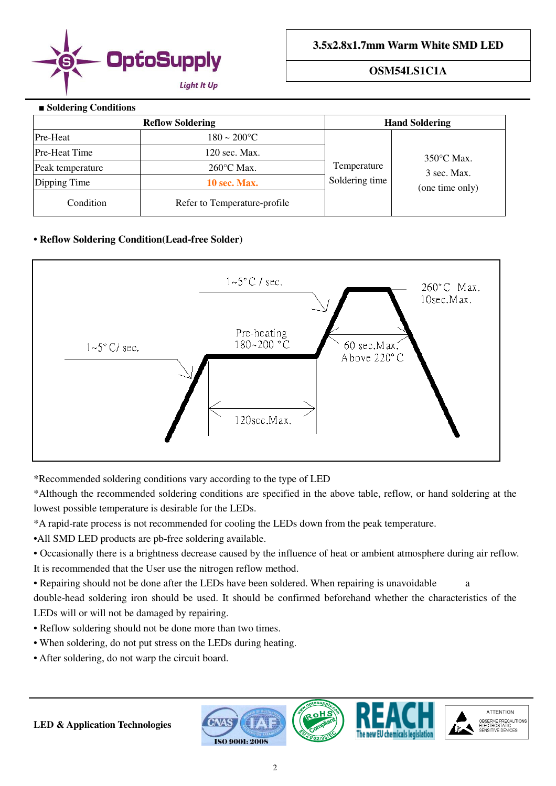

#### ■ **Soldering Conditions**

|                      | <b>Reflow Soldering</b>      |                | <b>Hand Soldering</b>                                  |  |  |
|----------------------|------------------------------|----------------|--------------------------------------------------------|--|--|
| Pre-Heat             | $180 - 200$ °C               |                |                                                        |  |  |
| <b>Pre-Heat Time</b> | 120 sec. Max.                |                | $350^{\circ}$ C Max.<br>3 sec. Max.<br>(one time only) |  |  |
| Peak temperature     | $260^{\circ}$ C Max.         | Temperature    |                                                        |  |  |
| Dipping Time         | 10 sec. Max.                 | Soldering time |                                                        |  |  |
| Condition            | Refer to Temperature-profile |                |                                                        |  |  |

## **• Reflow Soldering Condition(Lead-free Solder)**



\*Recommended soldering conditions vary according to the type of LED

\*Although the recommended soldering conditions are specified in the above table, reflow, or hand soldering at the lowest possible temperature is desirable for the LEDs.

\*A rapid-rate process is not recommended for cooling the LEDs down from the peak temperature.

•All SMD LED products are pb-free soldering available.

• Occasionally there is a brightness decrease caused by the influence of heat or ambient atmosphere during air reflow. It is recommended that the User use the nitrogen reflow method.

• Repairing should not be done after the LEDs have been soldered. When repairing is unavoidable a double-head soldering iron should be used. It should be confirmed beforehand whether the characteristics of the LEDs will or will not be damaged by repairing.

- Reflow soldering should not be done more than two times.
- When soldering, do not put stress on the LEDs during heating.
- After soldering, do not warp the circuit board.



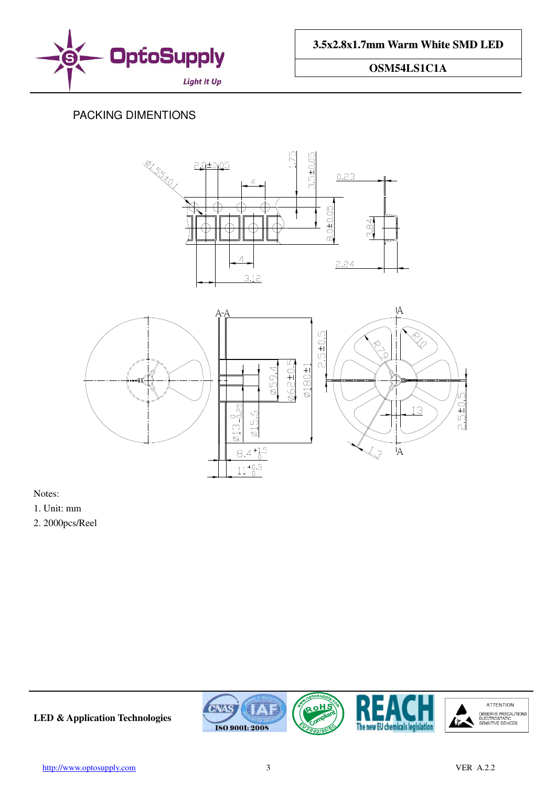

# PACKING DIMENTIONS





Notes:

1. Unit: mm

2. 2000pcs/Reel